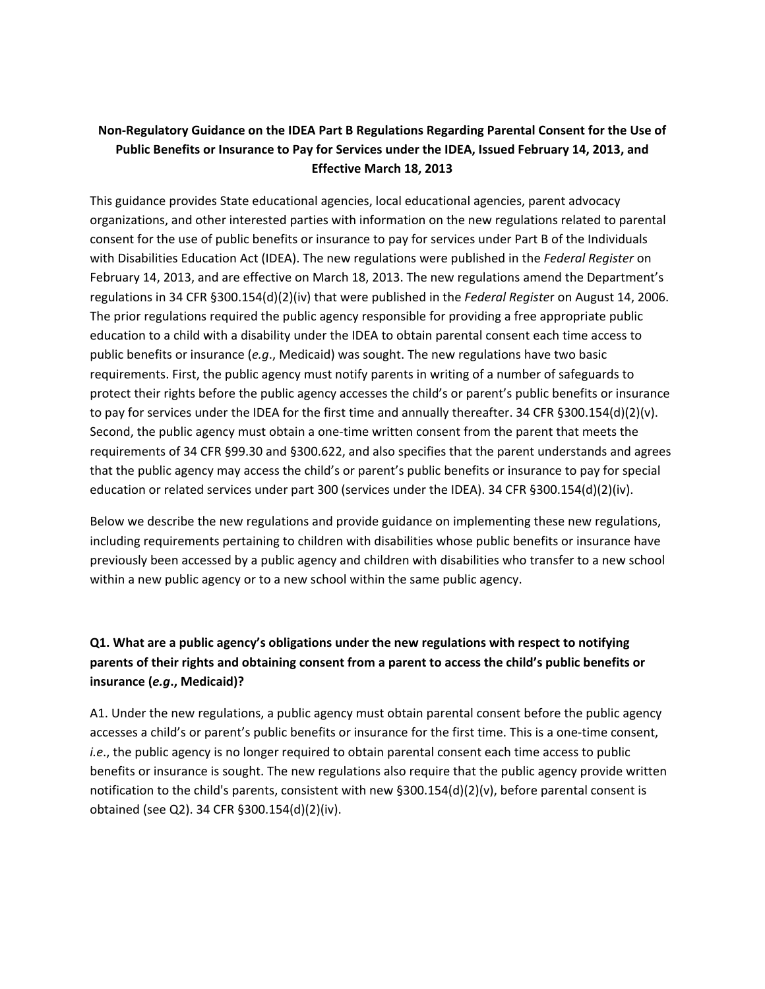# **Non‐Regulatory Guidance on the IDEA Part B Regulations Regarding Parental Consent for the Use of Public Benefits or Insurance to Pay for Services under the IDEA, Issued February 14, 2013, and Effective March 18, 2013**

This guidance provides State educational agencies, local educational agencies, parent advocacy organizations, and other interested parties with information on the new regulations related to parental consent for the use of public benefits or insurance to pay for services under Part B of the Individuals with Disabilities Education Act (IDEA). The new regulations were published in the *Federal Register* on February 14, 2013, and are effective on March 18, 2013. The new regulations amend the Department's regulations in 34 CFR §300.154(d)(2)(iv) that were published in the *Federal Registe*r on August 14, 2006. The prior regulations required the public agency responsible for providing a free appropriate public education to a child with a disability under the IDEA to obtain parental consent each time access to public benefits or insurance (*e.g*., Medicaid) was sought. The new regulations have two basic requirements. First, the public agency must notify parents in writing of a number of safeguards to protect their rights before the public agency accesses the child's or parent's public benefits or insurance to pay for services under the IDEA for the first time and annually thereafter. 34 CFR §300.154(d)(2)(v). Second, the public agency must obtain a one‐time written consent from the parent that meets the requirements of 34 CFR §99.30 and §300.622, and also specifies that the parent understands and agrees that the public agency may access the child's or parent's public benefits or insurance to pay for special education or related services under part 300 (services under the IDEA). 34 CFR §300.154(d)(2)(iv).

Below we describe the new regulations and provide guidance on implementing these new regulations, including requirements pertaining to children with disabilities whose public benefits or insurance have previously been accessed by a public agency and children with disabilities who transfer to a new school within a new public agency or to a new school within the same public agency.

# **Q1. What are a public agency's obligations under the new regulations with respect to notifying parents of their rights and obtaining consent from a parent to access the child's public benefits or insurance (***e.g***., Medicaid)?**

A1. Under the new regulations, a public agency must obtain parental consent before the public agency accesses a child's or parent's public benefits or insurance for the first time. This is a one-time consent, *i.e.*, the public agency is no longer required to obtain parental consent each time access to public benefits or insurance is sought. The new regulations also require that the public agency provide written notification to the child's parents, consistent with new §300.154(d)(2)(v), before parental consent is obtained (see Q2). 34 CFR §300.154(d)(2)(iv).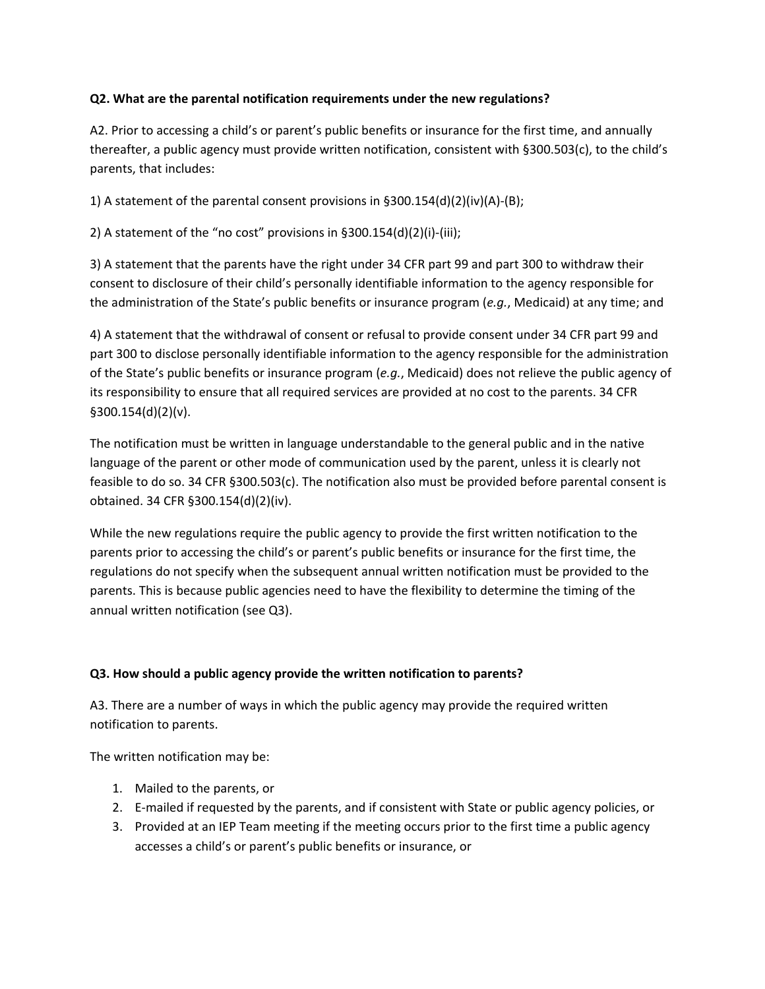### **Q2. What are the parental notification requirements under the new regulations?**

A2. Prior to accessing a child's or parent's public benefits or insurance for the first time, and annually thereafter, a public agency must provide written notification, consistent with §300.503(c), to the child's parents, that includes:

1) A statement of the parental consent provisions in  $\S 300.154(d)(2)(iv)(A)-(B);$ 

2) A statement of the "no cost" provisions in §300.154(d)(2)(i)-(iii);

3) A statement that the parents have the right under 34 CFR part 99 and part 300 to withdraw their consent to disclosure of their child's personally identifiable information to the agency responsible for the administration of the State's public benefits or insurance program (*e.g.*, Medicaid) at any time; and

4) A statement that the withdrawal of consent or refusal to provide consent under 34 CFR part 99 and part 300 to disclose personally identifiable information to the agency responsible for the administration of the State's public benefits or insurance program (*e.g.*, Medicaid) does not relieve the public agency of its responsibility to ensure that all required services are provided at no cost to the parents. 34 CFR §300.154(d)(2)(v).

The notification must be written in language understandable to the general public and in the native language of the parent or other mode of communication used by the parent, unless it is clearly not feasible to do so. 34 CFR §300.503(c). The notification also must be provided before parental consent is obtained. 34 CFR §300.154(d)(2)(iv).

While the new regulations require the public agency to provide the first written notification to the parents prior to accessing the child's or parent's public benefits or insurance for the first time, the regulations do not specify when the subsequent annual written notification must be provided to the parents. This is because public agencies need to have the flexibility to determine the timing of the annual written notification (see Q3).

#### **Q3. How should a public agency provide the written notification to parents?**

A3. There are a number of ways in which the public agency may provide the required written notification to parents.

The written notification may be:

- 1. Mailed to the parents, or
- 2. E-mailed if requested by the parents, and if consistent with State or public agency policies, or
- 3. Provided at an IEP Team meeting if the meeting occurs prior to the first time a public agency accesses a child's or parent's public benefits or insurance, or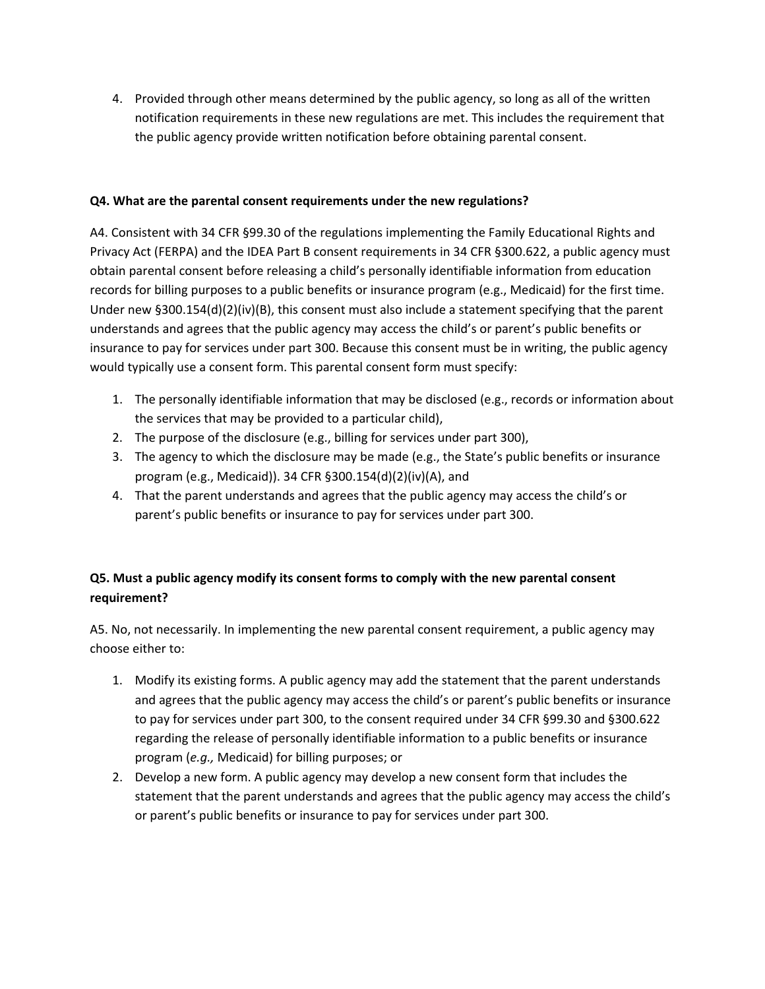4. Provided through other means determined by the public agency, so long as all of the written notification requirements in these new regulations are met. This includes the requirement that the public agency provide written notification before obtaining parental consent.

### **Q4. What are the parental consent requirements under the new regulations?**

A4. Consistent with 34 CFR §99.30 of the regulations implementing the Family Educational Rights and Privacy Act (FERPA) and the IDEA Part B consent requirements in 34 CFR §300.622, a public agency must obtain parental consent before releasing a child's personally identifiable information from education records for billing purposes to a public benefits or insurance program (e.g., Medicaid) for the first time. Under new §300.154(d)(2)(iv)(B), this consent must also include a statement specifying that the parent understands and agrees that the public agency may access the child's or parent's public benefits or insurance to pay for services under part 300. Because this consent must be in writing, the public agency would typically use a consent form. This parental consent form must specify:

- 1. The personally identifiable information that may be disclosed (e.g., records or information about the services that may be provided to a particular child),
- 2. The purpose of the disclosure (e.g., billing for services under part 300),
- 3. The agency to which the disclosure may be made (e.g., the State's public benefits or insurance program (e.g., Medicaid)). 34 CFR §300.154(d)(2)(iv)(A), and
- 4. That the parent understands and agrees that the public agency may access the child's or parent's public benefits or insurance to pay for services under part 300.

# **Q5. Must a public agency modify its consent forms to comply with the new parental consent requirement?**

A5. No, not necessarily. In implementing the new parental consent requirement, a public agency may choose either to:

- 1. Modify its existing forms. A public agency may add the statement that the parent understands and agrees that the public agency may access the child's or parent's public benefits or insurance to pay for services under part 300, to the consent required under 34 CFR §99.30 and §300.622 regarding the release of personally identifiable information to a public benefits or insurance program (*e.g.,* Medicaid) for billing purposes; or
- 2. Develop a new form. A public agency may develop a new consent form that includes the statement that the parent understands and agrees that the public agency may access the child's or parent's public benefits or insurance to pay for services under part 300.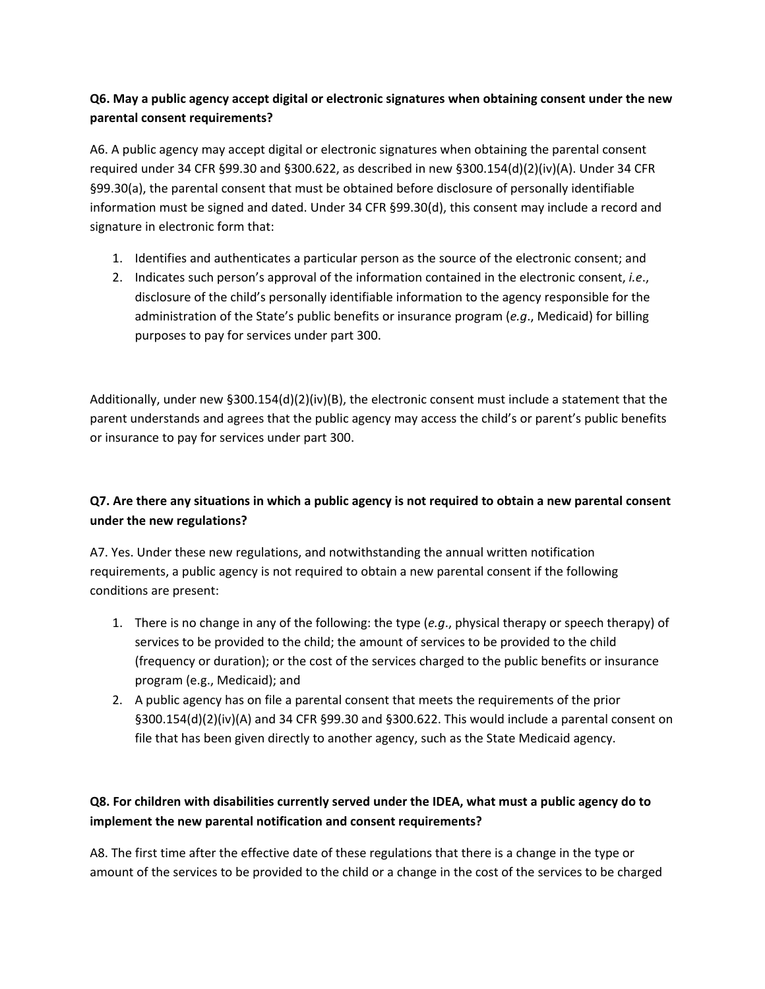## **Q6. May a public agency accept digital or electronic signatures when obtaining consent under the new parental consent requirements?**

A6. A public agency may accept digital or electronic signatures when obtaining the parental consent required under 34 CFR §99.30 and §300.622, as described in new §300.154(d)(2)(iv)(A). Under 34 CFR §99.30(a), the parental consent that must be obtained before disclosure of personally identifiable information must be signed and dated. Under 34 CFR §99.30(d), this consent may include a record and signature in electronic form that:

- 1. Identifies and authenticates a particular person as the source of the electronic consent; and
- 2. Indicates such person's approval of the information contained in the electronic consent, *i.e*., disclosure of the child's personally identifiable information to the agency responsible for the administration of the State's public benefits or insurance program (*e.g*., Medicaid) for billing purposes to pay for services under part 300.

Additionally, under new §300.154(d)(2)(iv)(B), the electronic consent must include a statement that the parent understands and agrees that the public agency may access the child's or parent's public benefits or insurance to pay for services under part 300.

# Q7. Are there any situations in which a public agency is not required to obtain a new parental consent **under the new regulations?**

A7. Yes. Under these new regulations, and notwithstanding the annual written notification requirements, a public agency is not required to obtain a new parental consent if the following conditions are present:

- 1. There is no change in any of the following: the type (*e.g*., physical therapy or speech therapy) of services to be provided to the child; the amount of services to be provided to the child (frequency or duration); or the cost of the services charged to the public benefits or insurance program (e.g., Medicaid); and
- 2. A public agency has on file a parental consent that meets the requirements of the prior §300.154(d)(2)(iv)(A) and 34 CFR §99.30 and §300.622. This would include a parental consent on file that has been given directly to another agency, such as the State Medicaid agency.

# **Q8. For children with disabilities currently served under the IDEA, what must a public agency do to implement the new parental notification and consent requirements?**

A8. The first time after the effective date of these regulations that there is a change in the type or amount of the services to be provided to the child or a change in the cost of the services to be charged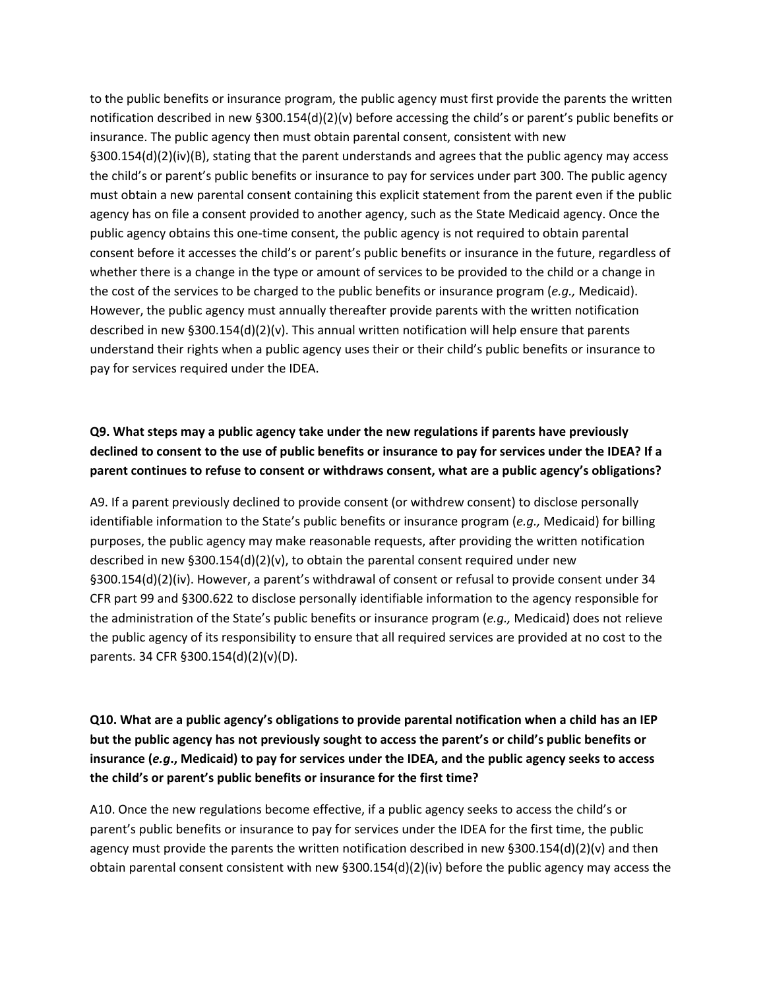to the public benefits or insurance program, the public agency must first provide the parents the written notification described in new §300.154(d)(2)(v) before accessing the child's or parent's public benefits or insurance. The public agency then must obtain parental consent, consistent with new §300.154(d)(2)(iv)(B), stating that the parent understands and agrees that the public agency may access the child's or parent's public benefits or insurance to pay for services under part 300. The public agency must obtain a new parental consent containing this explicit statement from the parent even if the public agency has on file a consent provided to another agency, such as the State Medicaid agency. Once the public agency obtains this one-time consent, the public agency is not required to obtain parental consent before it accesses the child's or parent's public benefits or insurance in the future, regardless of whether there is a change in the type or amount of services to be provided to the child or a change in the cost of the services to be charged to the public benefits or insurance program (*e.g.,* Medicaid). However, the public agency must annually thereafter provide parents with the written notification described in new §300.154(d)(2)(v). This annual written notification will help ensure that parents understand their rights when a public agency uses their or their child's public benefits or insurance to pay for services required under the IDEA.

## **Q9. What steps may a public agency take under the new regulations if parents have previously** declined to consent to the use of public benefits or insurance to pay for services under the IDEA? If a **parent continues to refuse to consent or withdraws consent, what are a public agency's obligations?**

A9. If a parent previously declined to provide consent (or withdrew consent) to disclose personally identifiable information to the State's public benefits or insurance program (*e.g.,* Medicaid) for billing purposes, the public agency may make reasonable requests, after providing the written notification described in new §300.154(d)(2)(v), to obtain the parental consent required under new §300.154(d)(2)(iv). However, a parent's withdrawal of consent or refusal to provide consent under 34 CFR part 99 and §300.622 to disclose personally identifiable information to the agency responsible for the administration of the State's public benefits or insurance program (*e.g.,* Medicaid) does not relieve the public agency of its responsibility to ensure that all required services are provided at no cost to the parents. 34 CFR §300.154(d)(2)(v)(D).

**Q10. What are a public agency's obligations to provide parental notification when a child has an IEP but the public agency has not previously sought to access the parent's or child's public benefits or** insurance (e.g., Medicaid) to pay for services under the IDEA, and the public agency seeks to access **the child's or parent's public benefits or insurance for the first time?**

A10. Once the new regulations become effective, if a public agency seeks to access the child's or parent's public benefits or insurance to pay for services under the IDEA for the first time, the public agency must provide the parents the written notification described in new §300.154(d)(2)(v) and then obtain parental consent consistent with new §300.154(d)(2)(iv) before the public agency may access the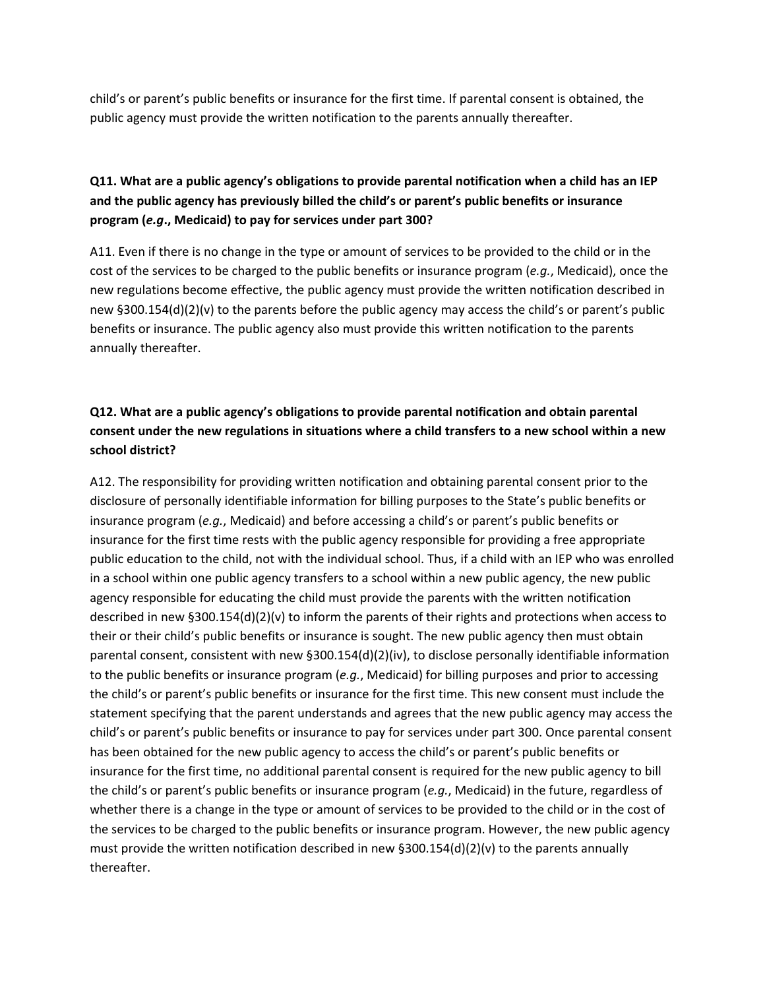child's or parent's public benefits or insurance for the first time. If parental consent is obtained, the public agency must provide the written notification to the parents annually thereafter.

# **Q11. What are a public agency's obligations to provide parental notification when a child has an IEP and the public agency has previously billed the child's or parent's public benefits or insurance program (***e.g***., Medicaid) to pay for services under part 300?**

A11. Even if there is no change in the type or amount of services to be provided to the child or in the cost of the services to be charged to the public benefits or insurance program (*e.g.*, Medicaid), once the new regulations become effective, the public agency must provide the written notification described in new §300.154(d)(2)(v) to the parents before the public agency may access the child's or parent's public benefits or insurance. The public agency also must provide this written notification to the parents annually thereafter.

# **Q12. What are a public agency's obligations to provide parental notification and obtain parental** consent under the new regulations in situations where a child transfers to a new school within a new **school district?**

A12. The responsibility for providing written notification and obtaining parental consent prior to the disclosure of personally identifiable information for billing purposes to the State's public benefits or insurance program (*e.g.*, Medicaid) and before accessing a child's or parent's public benefits or insurance for the first time rests with the public agency responsible for providing a free appropriate public education to the child, not with the individual school. Thus, if a child with an IEP who was enrolled in a school within one public agency transfers to a school within a new public agency, the new public agency responsible for educating the child must provide the parents with the written notification described in new §300.154(d)(2)(v) to inform the parents of their rights and protections when access to their or their child's public benefits or insurance is sought. The new public agency then must obtain parental consent, consistent with new §300.154(d)(2)(iv), to disclose personally identifiable information to the public benefits or insurance program (*e.g.*, Medicaid) for billing purposes and prior to accessing the child's or parent's public benefits or insurance for the first time. This new consent must include the statement specifying that the parent understands and agrees that the new public agency may access the child's or parent's public benefits or insurance to pay for services under part 300. Once parental consent has been obtained for the new public agency to access the child's or parent's public benefits or insurance for the first time, no additional parental consent is required for the new public agency to bill the child's or parent's public benefits or insurance program (*e.g.*, Medicaid) in the future, regardless of whether there is a change in the type or amount of services to be provided to the child or in the cost of the services to be charged to the public benefits or insurance program. However, the new public agency must provide the written notification described in new §300.154(d)(2)(v) to the parents annually thereafter.